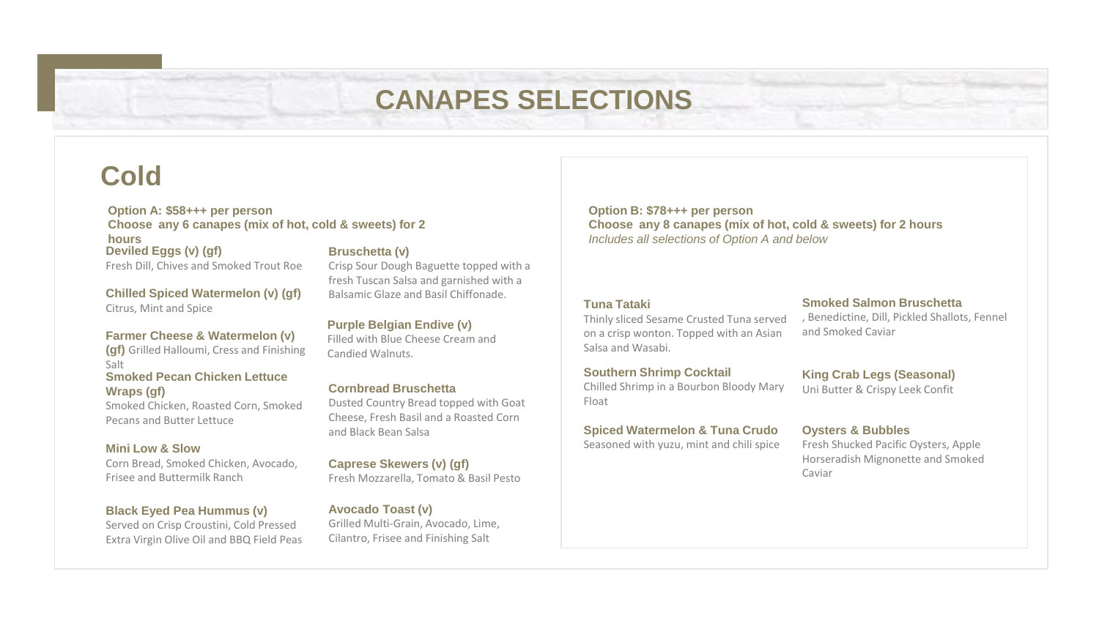# **CANAPES SELECTIONS**

## **Cold**

#### **Deviled Eggs (v) (gf)** Fresh Dill, Chives and Smoked Trout Roe **Bruschetta (v) Option A: \$58+++ per person Choose any 6 canapes (mix of hot, cold & sweets) for 2 hours**

**Chilled Spiced Watermelon (v) (gf)** Citrus, Mint and Spice

#### **Farmer Cheese & Watermelon (v)**

**(gf)** Grilled Halloumi, Cress and Finishing Salt **Smoked Pecan Chicken Lettuce Wraps (gf)** 

Smoked Chicken, Roasted Corn, Smoked Pecans and Butter Lettuce

#### **Mini Low & Slow**

Corn Bread, Smoked Chicken, Avocado, Frisee and Buttermilk Ranch

#### **Black Eyed Pea Hummus (v)**

Served on Crisp Croustini, Cold Pressed Extra Virgin Olive Oil and BBQ Field Peas Crisp Sour Dough Baguette topped with a fresh Tuscan Salsa and garnished with a Balsamic Glaze and Basil Chiffonade.

#### **Purple Belgian Endive (v)**

Filled with Blue Cheese Cream and Candied Walnuts.

#### **Cornbread Bruschetta**

Dusted Country Bread topped with Goat Cheese, Fresh Basil and a Roasted Corn and Black Bean Salsa

#### **Caprese Skewers (v) (gf)**

Fresh Mozzarella, Tomato & Basil Pesto

#### **Avocado Toast (v)**

Grilled Multi-Grain, Avocado, Lime, Cilantro, Frisee and Finishing Salt

**Option B: \$78+++ per person Choose any 8 canapes (mix of hot, cold & sweets) for 2 hours**  *Includes all selections of Option A and below*

#### **Tuna Tataki**

Thinly sliced Sesame Crusted Tuna served on a crisp wonton. Topped with an Asian Salsa and Wasabi.

#### **Southern Shrimp Cocktail**

Chilled Shrimp in a Bourbon Bloody Mary Float

#### **Spiced Watermelon & Tuna Crudo**

Seasoned with yuzu, mint and chili spice

#### **Smoked Salmon Bruschetta**

, Benedictine, Dill, Pickled Shallots, Fennel and Smoked Caviar

#### **King Crab Legs (Seasonal)** Uni Butter & Crispy Leek Confit

#### **Oysters & Bubbles**

Fresh Shucked Pacific Oysters, Apple Horseradish Mignonette and Smoked Caviar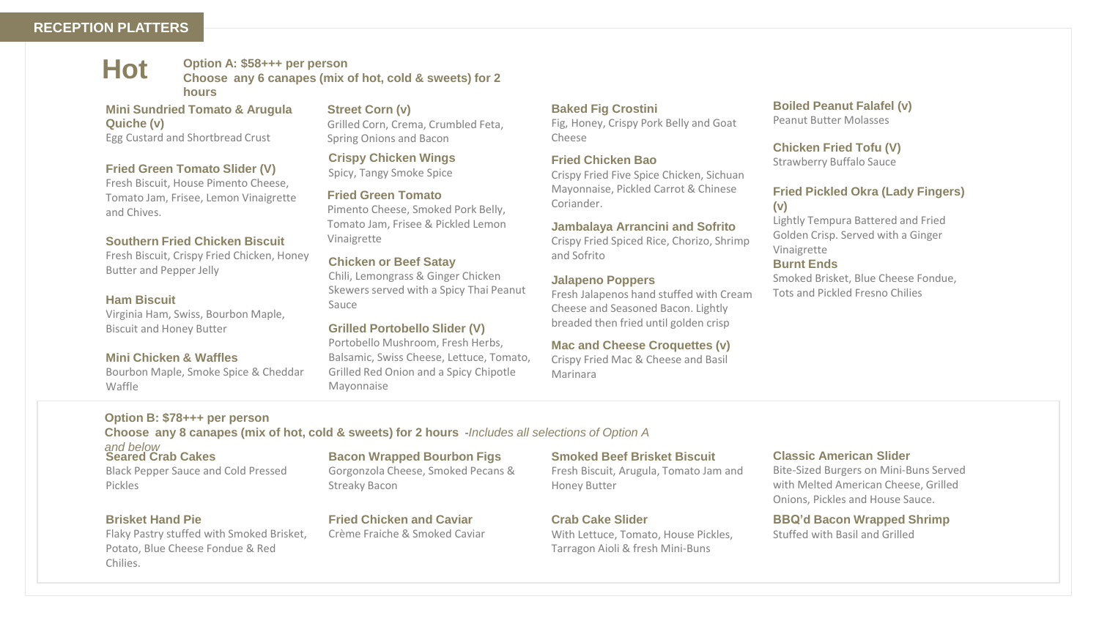#### **RECEPTION PLATTERS**

**Hot**

**Option A: \$58+++ per person Choose any 6 canapes (mix of hot, cold & sweets) for 2 hours** 

#### **Mini Sundried Tomato & Arugula Quiche (v)** Egg Custard and Shortbread Crust

#### **Fried Green Tomato Slider (V)**

Fresh Biscuit, House Pimento Cheese, Tomato Jam, Frisee, Lemon Vinaigrette and Chives.

#### **Southern Fried Chicken Biscuit**

Fresh Biscuit, Crispy Fried Chicken, Honey Butter and Pepper Jelly

#### **Ham Biscuit**

Virginia Ham, Swiss, Bourbon Maple, Biscuit and Honey Butter

#### **Mini Chicken & Waffles**

Bourbon Maple, Smoke Spice & Cheddar Waffle

#### **Option B: \$78+++ per person**

**Choose any 8 canapes (mix of hot, cold & sweets) for 2 hours -***Includes all selections of Option A* 

Mayonnaise

**Crispy Chicken Wings** Spicy, Tangy Smoke Spice **Fried Green Tomato**

Spring Onions and Bacon

**Street Corn (v)**

**Chicken or Beef Satay**

Vinaigrette

Sauce

Pimento Cheese, Smoked Pork Belly, Tomato Jam, Frisee & Pickled Lemon

Grilled Corn, Crema, Crumbled Feta,

Chili, Lemongrass & Ginger Chicken Skewers served with a Spicy Thai Peanut

**Grilled Portobello Slider (V)**  Portobello Mushroom, Fresh Herbs, Balsamic, Swiss Cheese, Lettuce, Tomato, Grilled Red Onion and a Spicy Chipotle

#### **Seared Crab Cakes** *and below*

Black Pepper Sauce and Cold Pressed Pickles

#### **Brisket Hand Pie**

Flaky Pastry stuffed with Smoked Brisket, Potato, Blue Cheese Fondue & Red Chilies.

#### **Bacon Wrapped Bourbon Figs**

Gorgonzola Cheese, Smoked Pecans & Streaky Bacon

**Fried Chicken and Caviar** Crème Fraiche & Smoked Caviar

#### **Smoked Beef Brisket Biscuit**

Fresh Biscuit, Arugula, Tomato Jam and Honey Butter

**Crab Cake Slider**

**Baked Fig Crostini** 

**Fried Chicken Bao**

**Jalapeno Poppers**

Cheese

Coriander.

and Sofrito

Marinara

Fig, Honey, Crispy Pork Belly and Goat

Crispy Fried Five Spice Chicken, Sichuan Mayonnaise, Pickled Carrot & Chinese

**Jambalaya Arrancini and Sofrito** Crispy Fried Spiced Rice, Chorizo, Shrimp

Fresh Jalapenos hand stuffed with Cream Cheese and Seasoned Bacon. Lightly breaded then fried until golden crisp **Mac and Cheese Croquettes (v)** Crispy Fried Mac & Cheese and Basil

With Lettuce, Tomato, House Pickles, Tarragon Aioli & fresh Mini-Buns

#### **Boiled Peanut Falafel (v)** Peanut Butter Molasses

**Chicken Fried Tofu (V)** Strawberry Buffalo Sauce

#### **Fried Pickled Okra (Lady Fingers) (v)**

Lightly Tempura Battered and Fried Golden Crisp. Served with a Ginger Vinaigrette

#### **Burnt Ends**

Smoked Brisket, Blue Cheese Fondue, Tots and Pickled Fresno Chilies

**Classic American Slider** 

Bite-Sized Burgers on Mini-Buns Served with Melted American Cheese, Grilled Onions, Pickles and House Sauce.

**BBQ'd Bacon Wrapped Shrimp** Stuffed with Basil and Grilled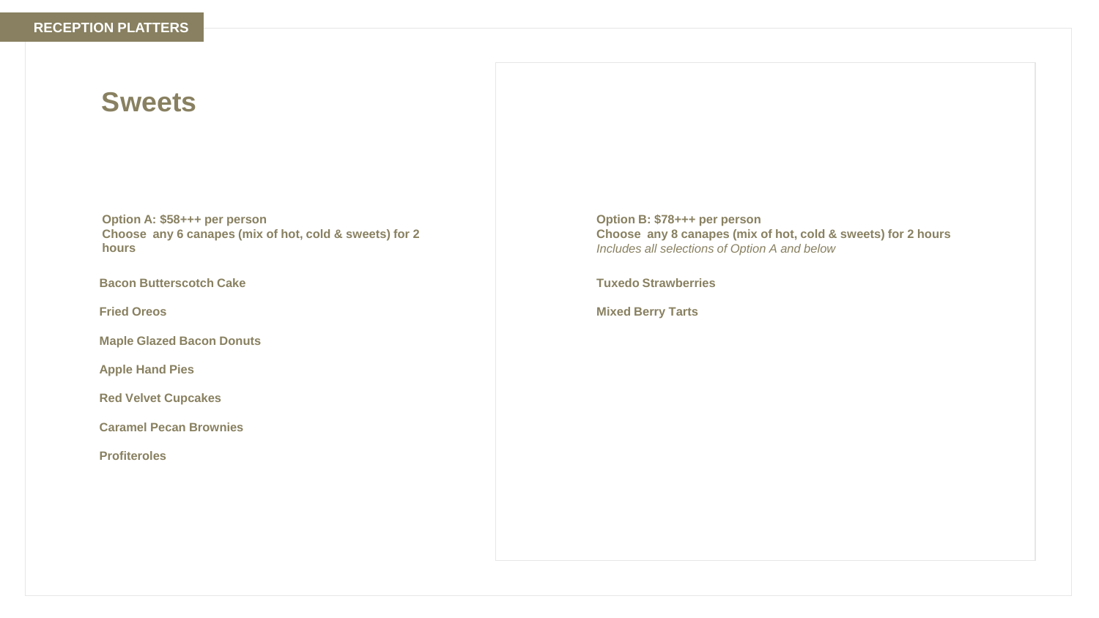## **Sweets**

**Option A: \$58+++ per person Choose any 6 canapes (mix of hot, cold & sweets) for 2 hours** 

**Bacon Butterscotch Cake**

**Fried Oreos** 

**Maple Glazed Bacon Donuts** 

**Apple Hand Pies** 

**Red Velvet Cupcakes** 

**Caramel Pecan Brownies** 

**Profiteroles** 

**Option B: \$78+++ per person Choose any 8 canapes (mix of hot, cold & sweets) for 2 hours**  *Includes all selections of Option A and below*

**Tuxedo Strawberries** 

**Mixed Berry Tarts**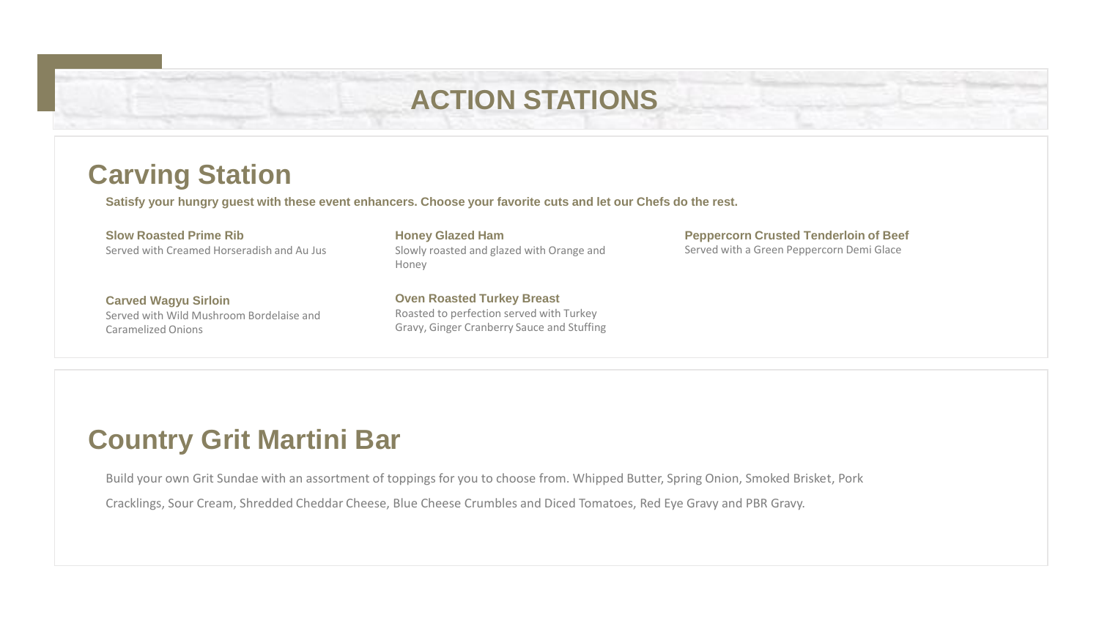## **ACTION STATIONS**

## **Carving Station**

**Satisfy your hungry guest with these event enhancers. Choose your favorite cuts and let our Chefs do the rest.**

### **Slow Roasted Prime Rib**

Served with Creamed Horseradish and Au Jus

**Carved Wagyu Sirloin** Served with Wild Mushroom Bordelaise and Caramelized Onions

**Honey Glazed Ham** Slowly roasted and glazed with Orange and Honey

**Oven Roasted Turkey Breast** Roasted to perfection served with Turkey Gravy, Ginger Cranberry Sauce and Stuffing **Peppercorn Crusted Tenderloin of Beef** Served with a Green Peppercorn Demi Glace

## **Country Grit Martini Bar**

Build your own Grit Sundae with an assortment of toppings for you to choose from. Whipped Butter, Spring Onion, Smoked Brisket, Pork

Cracklings, Sour Cream, Shredded Cheddar Cheese, Blue Cheese Crumbles and Diced Tomatoes, Red Eye Gravy and PBR Gravy.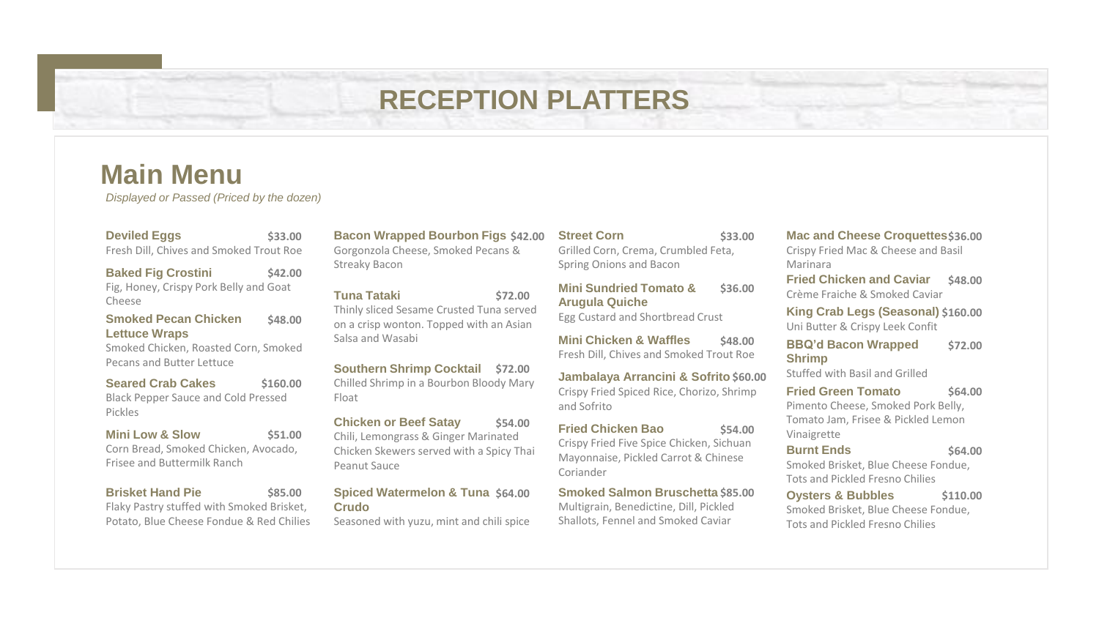## **RECEPTION PLATTERS**

## **Main Menu**

*Displayed or Passed (Priced by the dozen)*

**Deviled Eggs** Fresh Dill, Chives and Smoked Trout Roe

**Baked Fig Crostini** Fig, Honey, Crispy Pork Belly and Goat Cheese **\$42.00**

**Smoked Pecan Chicken Lettuce Wraps \$48.00**

Smoked Chicken, Roasted Corn, Smoked Pecans and Butter Lettuce

**Seared Crab Cakes** Black Pepper Sauce and Cold Pressed Pickles

**Mini Low & Slow** Corn Bread, Smoked Chicken, Avocado, Frisee and Buttermilk Ranch **\$51.00**

**Brisket Hand Pie** Flaky Pastry stuffed with Smoked Brisket, Potato, Blue Cheese Fondue & Red Chilies **\$85.00**

**\$33.00 Bacon Wrapped Bourbon Figs** Gorgonzola Cheese, Smoked Pecans & Streaky Bacon

> **Tuna Tataki** Thinly sliced Sesame Crusted Tuna served on a crisp wonton. Topped with an Asian Salsa and Wasabi

**Southern Shrimp Cocktail \$72.00** Chilled Shrimp in a Bourbon Bloody Mary **\$160.00 Jambalaya Arrancini & Sofrito** Float

> **Chicken or Beef Satay** Chili, Lemongrass & Ginger Marinated Chicken Skewers served with a Spicy Thai Peanut Sauce **\$54.00**

#### **Spiced Watermelon & Tuna \$64.00 Crudo**

Seasoned with yuzu, mint and chili spice

#### **Street Corn**

Grilled Corn, Crema, Crumbled Feta, Spring Onions and Bacon

**\$72.00 Mini Sundried Tomato & Arugula Quiche**

Egg Custard and Shortbread Crust

**Mini Chicken & Waffles** Fresh Dill, Chives and Smoked Trout Roe **\$48.00**

Crispy Fried Spiced Rice, Chorizo, Shrimp and Sofrito **Jambalaya Arrancini & Sofrito \$60.00** 

**Fried Chicken Bao** Crispy Fried Five Spice Chicken, Sichuan Mayonnaise, Pickled Carrot & Chinese Coriander **\$54.00**

**Smoked Salmon Bruschetta \$85.00** Multigrain, Benedictine, Dill, Pickled Shallots, Fennel and Smoked Caviar

#### **\$33.00 Mac and Cheese Croquettes \$36.00**

Crispy Fried Mac & Cheese and Basil Marinara

**\$36.00 Fried Chicken and Caviar** Crème Fraiche & Smoked Caviar **\$48.00**

> **King Crab Legs (Seasonal) \$160.00** Uni Butter & Crispy Leek Confit

**BBQ'd Bacon Wrapped Shrimp \$72.00**

Stuffed with Basil and Grilled

**Burnt Ends**

**Fried Green Tomato** Pimento Cheese, Smoked Pork Belly, Tomato Jam, Frisee & Pickled Lemon Vinaigrette **\$64.00**

#### **\$64.00**

Smoked Brisket, Blue Cheese Fondue, Tots and Pickled Fresno Chilies

**Oysters & Bubbles**  Smoked Brisket, Blue Cheese Fondue, Tots and Pickled Fresno Chilies **\$110.00**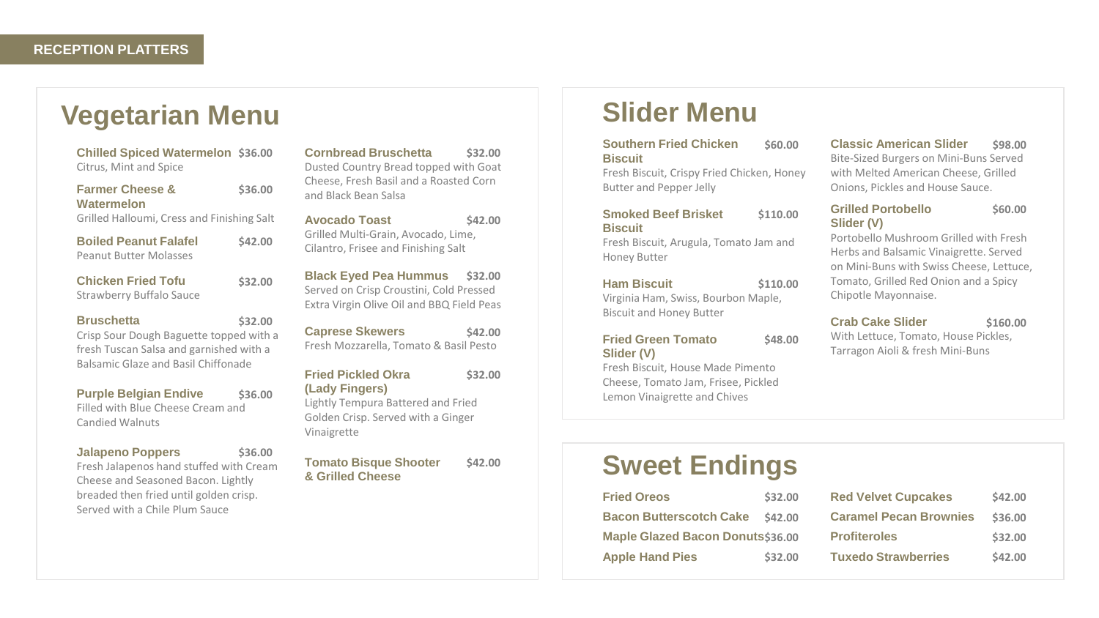## **Vegetarian Menu**

**Chilled Spiced Watermelon** Citrus, Mint and Spice

| <b>Farmer Cheese &amp;</b>                 | \$36.00 |
|--------------------------------------------|---------|
| Watermelon                                 |         |
| Grilled Halloumi, Cress and Finishing Salt |         |

| <b>Boiled Peanut Falafel</b>  | <b>\$42.00</b> |
|-------------------------------|----------------|
| <b>Peanut Butter Molasses</b> |                |
|                               |                |

## Strawberry Buffalo Sauce

#### **Bruschetta**

Crisp Sour Dough Baguette topped with a fresh Tuscan Salsa and garnished with a Balsamic Glaze and Basil Chiffonade

**\$32.00**

**\$32.00**

**Purple Belgian Endive** Filled with Blue Cheese Cream and Candied Walnuts **\$36.00**

| <b>Jalapeno Poppers</b>                 | \$36.00 |
|-----------------------------------------|---------|
| Fresh Jalapenos hand stuffed with Cream |         |
| Cheese and Seasoned Bacon. Lightly      |         |
| breaded then fried until golden crisp.  |         |
| Served with a Chile Plum Sauce          |         |

**\$36.00 Cornbread Bruschetta** Dusted Country Bread topped with Goat Cheese, Fresh Basil and a Roasted Corn and Black Bean Salsa **\$32.00**

**Avocado Toast** Grilled Multi-Grain, Avocado, Lime, Cilantro, Frisee and Finishing Salt **\$42.00**

**Black Eyed Pea Hummus \$32.00 Chicken Fried Tofu** Served on Crisp Croustini, Cold Pressed Extra Virgin Olive Oil and BBQ Field Peas

> **Caprese Skewers** Fresh Mozzarella, Tomato & Basil Pesto **\$42.00**

#### **Fried Pickled Okra (Lady Fingers)** Lightly Tempura Battered and Fried Golden Crisp. Served with a Ginger **\$32.00**

Vinaigrette

**Tomato Bisque Shooter & Grilled Cheese \$42.00**

## **Slider Menu**

| <b>Southern Fried Chicken</b> |  | \$60.00 |
|-------------------------------|--|---------|
| <b>Biscuit</b>                |  |         |

Fresh Biscuit, Crispy Fried Chicken, Honey Butter and Pepper Jelly

#### **Smoked Beef Brisket Biscuit \$110.00**

Fresh Biscuit, Arugula, Tomato Jam and Honey Butter

**\$110.00**

**\$48.00**

#### **Ham Biscuit**

Virginia Ham, Swiss, Bourbon Maple, Biscuit and Honey Butter

#### **Fried Green Tomato Slider (V)**

Fresh Biscuit, House Made Pimento Cheese, Tomato Jam, Frisee, Pickled Lemon Vinaigrette and Chives

**\$60.00 Classic American Slider** Bite-Sized Burgers on Mini-Buns Served with Melted American Cheese, Grilled Onions, Pickles and House Sauce. **\$98.00**

#### **Grilled Portobello Slider (V)**

Portobello Mushroom Grilled with Fresh Herbs and Balsamic Vinaigrette. Served on Mini-Buns with Swiss Cheese, Lettuce, Tomato, Grilled Red Onion and a Spicy Chipotle Mayonnaise.

**\$60.00**

**Crab Cake Slider**  With Lettuce, Tomato, House Pickles, Tarragon Aioli & fresh Mini-Buns **\$160.00**

## **Sweet Endings**

| <b>Fried Oreos</b>                      | \$32.00 |
|-----------------------------------------|---------|
| <b>Bacon Butterscotch Cake \$42.00</b>  |         |
| <b>Maple Glazed Bacon Donuts\$36.00</b> |         |
| <b>Apple Hand Pies</b>                  | \$32.00 |

| <b>Red Velvet Cupcakes</b>    | \$42.00 |
|-------------------------------|---------|
| <b>Caramel Pecan Brownies</b> | \$36.00 |
| <b>Profiteroles</b>           | \$32.00 |
| <b>Tuxedo Strawberries</b>    | \$42.00 |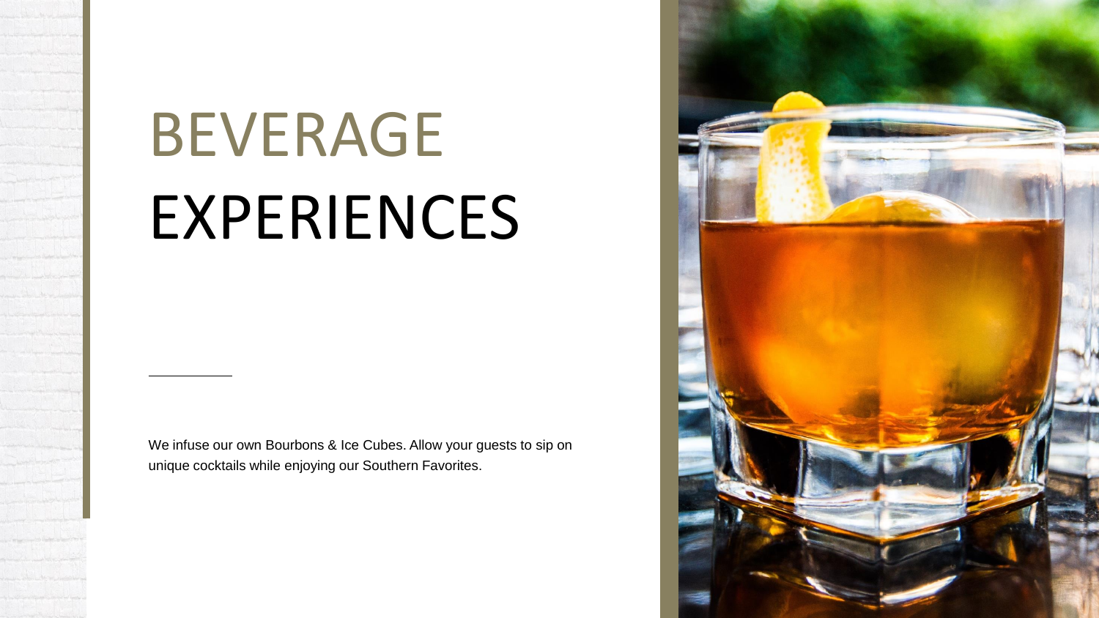# BEVERAGE EXPERIENCES

We infuse our own Bourbons & Ice Cubes. Allow your guests to sip on unique cocktails while enjoying our Southern Favorites.